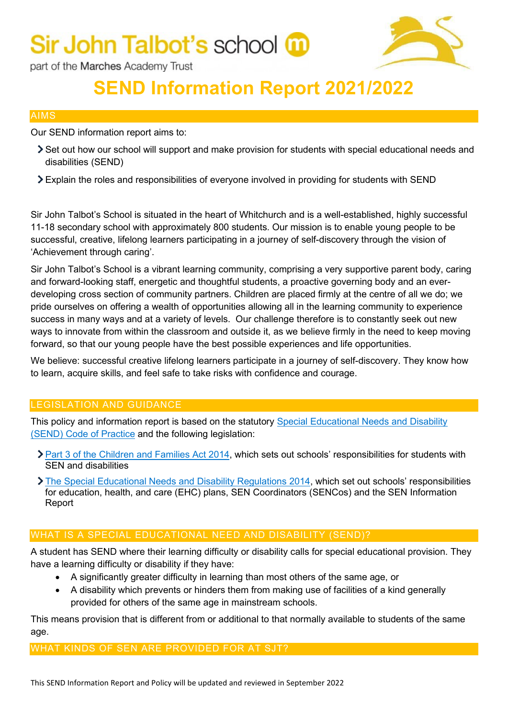

part of the Marches Academy Trust

### **SEND Information Report 2021/2022**

#### AIMS

Our SEND information report aims to:

- Set out how our school will support and make provision for students with special educational needs and disabilities (SEND)
- Explain the roles and responsibilities of everyone involved in providing for students with SEND

Sir John Talbot's School is situated in the heart of Whitchurch and is a well-established, highly successful 11-18 secondary school with approximately 800 students. Our mission is to enable young people to be successful, creative, lifelong learners participating in a journey of self-discovery through the vision of 'Achievement through caring'.

Sir John Talbot's School is a vibrant learning community, comprising a very supportive parent body, caring and forward-looking staff, energetic and thoughtful students, a proactive governing body and an everdeveloping cross section of community partners. Children are placed firmly at the centre of all we do; we pride ourselves on offering a wealth of opportunities allowing all in the learning community to experience success in many ways and at a variety of levels. Our challenge therefore is to constantly seek out new ways to innovate from within the classroom and outside it, as we believe firmly in the need to keep moving forward, so that our young people have the best possible experiences and life opportunities.

We believe: successful creative lifelong learners participate in a journey of self-discovery. They know how to learn, acquire skills, and feel safe to take risks with confidence and courage.

#### LEGISLATION AND GUIDANCE

This policy and information report is based on the statutory [Special Educational Needs and Disability](https://www.gov.uk/government/uploads/system/uploads/attachment_data/file/398815/SEND_Code_of_Practice_January_2015.pdf)  [\(SEND\) Code of Practice](https://www.gov.uk/government/uploads/system/uploads/attachment_data/file/398815/SEND_Code_of_Practice_January_2015.pdf) and the following legislation:

- Part 3 of the Children [and Families Act 2014,](http://www.legislation.gov.uk/ukpga/2014/6/part/3) which sets out schools' responsibilities for students with SEN and disabilities
- [The Special Educational Needs and Disability Regulations 2014,](http://www.legislation.gov.uk/uksi/2014/1530/contents/made) which set out schools' responsibilities for education, health, and care (EHC) plans, SEN Coordinators (SENCos) and the SEN Information Report

#### WHAT IS A SPECIAL EDUCATIONAL NEED AND DISABILITY (SEND)?

A student has SEND where their learning difficulty or disability calls for special educational provision. They have a learning difficulty or disability if they have:

- A significantly greater difficulty in learning than most others of the same age, or
- A disability which prevents or hinders them from making use of facilities of a kind generally provided for others of the same age in mainstream schools.

This means provision that is different from or additional to that normally available to students of the same age.

#### WHAT KINDS OF SEN ARE PROVIDED FOR AT SJT?

This SEND Information Report and Policy will be updated and reviewed in September 2022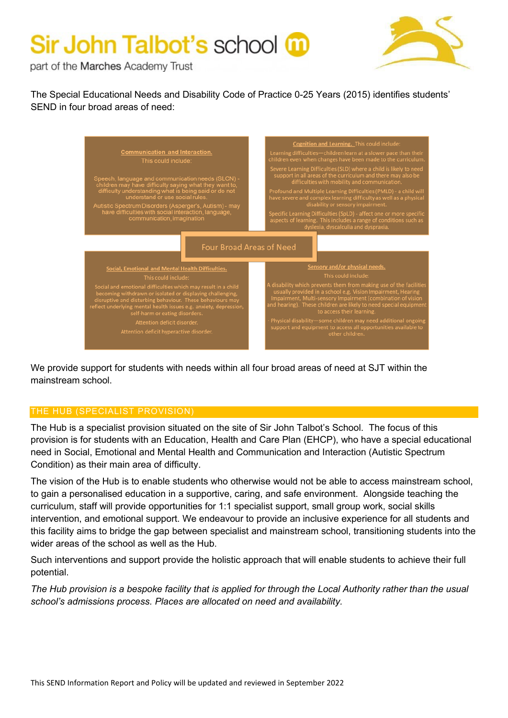

part of the Marches Academy Trust

The Special Educational Needs and Disability Code of Practice 0-25 Years (2015) identifies students' SEND in four broad areas of need:



We provide support for students with needs within all four broad areas of need at SJT within the mainstream school.

#### THE HUB (SPECIALIST PROVISION)

The Hub is a specialist provision situated on the site of Sir John Talbot's School. The focus of this provision is for students with an Education, Health and Care Plan (EHCP), who have a special educational need in Social, Emotional and Mental Health and Communication and Interaction (Autistic Spectrum Condition) as their main area of difficulty.

The vision of the Hub is to enable students who otherwise would not be able to access mainstream school, to gain a personalised education in a supportive, caring, and safe environment. Alongside teaching the curriculum, staff will provide opportunities for 1:1 specialist support, small group work, social skills intervention, and emotional support. We endeavour to provide an inclusive experience for all students and this facility aims to bridge the gap between specialist and mainstream school, transitioning students into the wider areas of the school as well as the Hub.

Such interventions and support provide the holistic approach that will enable students to achieve their full potential.

*The Hub provision is a bespoke facility that is applied for through the Local Authority rather than the usual school's admissions process. Places are allocated on need and availability.*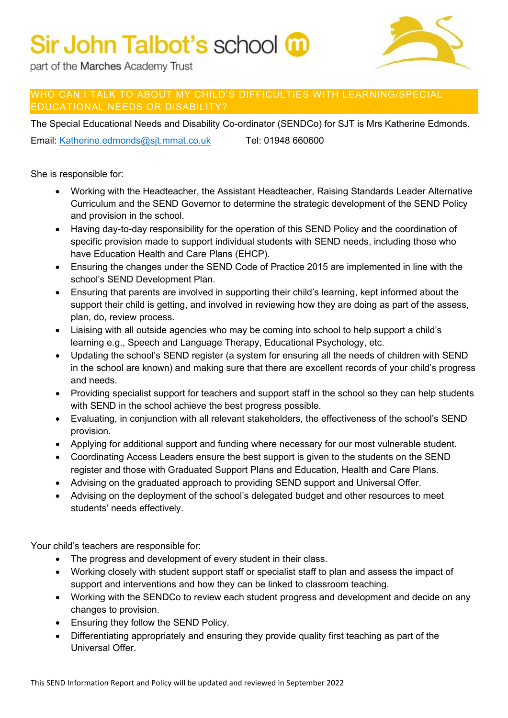

part of the Marches Academy Trust

#### WHO CAN I TALK TO ABOUT MY CHILD'S DIFFICULTIES WITH LEARNING/SPECIAL EDUCATIONAL NEEDS OR DISABILITY?

The Special Educational Needs and Disability Co-ordinator (SENDCo) for SJT is Mrs Katherine Edmonds.

Email: [Katherine.edmonds@sjt.mmat.co.uk](mailto:Katherine.edmonds@sjt.mmat.co.uk) Tel: 01948 660600

She is responsible for:

- Working with the Headteacher, the Assistant Headteacher, Raising Standards Leader Alternative Curriculum and the SEND Governor to determine the strategic development of the SEND Policy and provision in the school.
- Having day-to-day responsibility for the operation of this SEND Policy and the coordination of specific provision made to support individual students with SEND needs, including those who have Education Health and Care Plans (EHCP).
- Ensuring the changes under the SEND Code of Practice 2015 are implemented in line with the school's SEND Development Plan.
- Ensuring that parents are involved in supporting their child's learning, kept informed about the support their child is getting, and involved in reviewing how they are doing as part of the assess, plan, do, review process.
- Liaising with all outside agencies who may be coming into school to help support a child's learning e.g., Speech and Language Therapy, Educational Psychology, etc.
- Updating the school's SEND register (a system for ensuring all the needs of children with SEND in the school are known) and making sure that there are excellent records of your child's progress and needs.
- Providing specialist support for teachers and support staff in the school so they can help students with SEND in the school achieve the best progress possible.
- Evaluating, in conjunction with all relevant stakeholders, the effectiveness of the school's SEND provision.
- Applying for additional support and funding where necessary for our most vulnerable student.
- Coordinating Access Leaders ensure the best support is given to the students on the SEND register and those with Graduated Support Plans and Education, Health and Care Plans.
- Advising on the graduated approach to providing SEND support and Universal Offer.
- Advising on the deployment of the school's delegated budget and other resources to meet students' needs effectively.

Your child's teachers are responsible for:

- The progress and development of every student in their class.
- Working closely with student support staff or specialist staff to plan and assess the impact of support and interventions and how they can be linked to classroom teaching.
- Working with the SENDCo to review each student progress and development and decide on any changes to provision.
- Ensuring they follow the SEND Policy.
- Differentiating appropriately and ensuring they provide quality first teaching as part of the Universal Offer.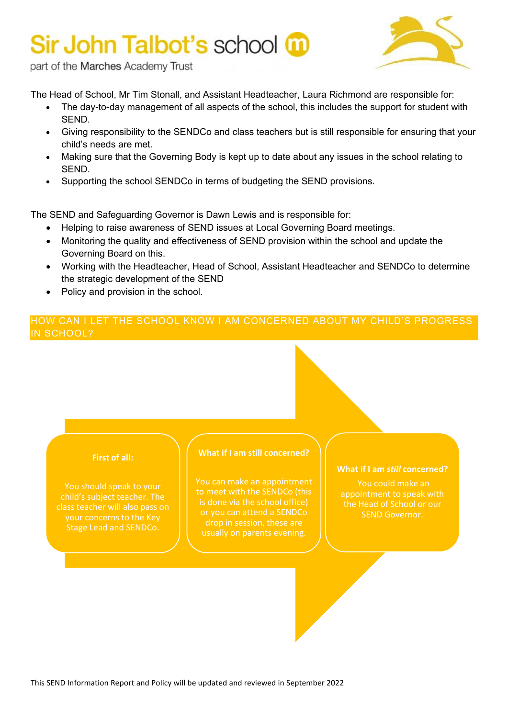

part of the Marches Academy Trust

The Head of School, Mr Tim Stonall, and Assistant Headteacher, Laura Richmond are responsible for:

- The day-to-day management of all aspects of the school, this includes the support for student with SEND.
- Giving responsibility to the SENDCo and class teachers but is still responsible for ensuring that your child's needs are met.
- Making sure that the Governing Body is kept up to date about any issues in the school relating to SEND.
- Supporting the school SENDCo in terms of budgeting the SEND provisions.

The SEND and Safeguarding Governor is Dawn Lewis and is responsible for:

- Helping to raise awareness of SEND issues at Local Governing Board meetings.
- Monitoring the quality and effectiveness of SEND provision within the school and update the Governing Board on this.
- Working with the Headteacher, Head of School, Assistant Headteacher and SENDCo to determine the strategic development of the SEND
- Policy and provision in the school.

#### HOW CAN I LET THE SCHOOL KNOW I AM CONCERNED ABOUT MY CHILD'S PROGRESS IN SCHOOL?

#### **First of all:**

Stage Lead and SENDCo.

#### **What if I am still concerned?**

You can make an appointment to meet with the SENDCo (this is done via the school office) or you can attend a SENDCo

#### **What if I am** *still* **concerned?**

You could make an appointment to speak with the Head of School or our SEND Governor.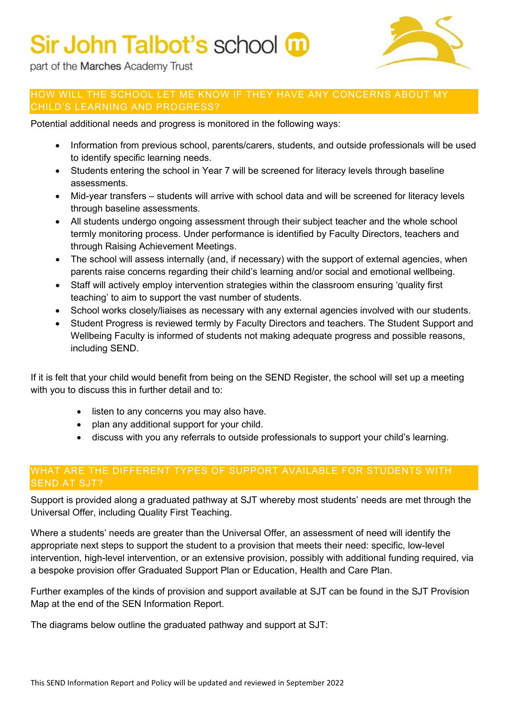

part of the Marches Academy Trust

#### HOW WILL THE SCHOOL LET ME KNOW IF THEY HAVE ANY CONCERNS ABOUT MY CHILD'S LEARNING AND PROGRESS?

Potential additional needs and progress is monitored in the following ways:

- Information from previous school, parents/carers, students, and outside professionals will be used to identify specific learning needs.
- Students entering the school in Year 7 will be screened for literacy levels through baseline assessments.
- Mid-year transfers students will arrive with school data and will be screened for literacy levels through baseline assessments.
- All students undergo ongoing assessment through their subject teacher and the whole school termly monitoring process. Under performance is identified by Faculty Directors, teachers and through Raising Achievement Meetings.
- The school will assess internally (and, if necessary) with the support of external agencies, when parents raise concerns regarding their child's learning and/or social and emotional wellbeing.
- Staff will actively employ intervention strategies within the classroom ensuring 'quality first teaching' to aim to support the vast number of students.
- School works closely/liaises as necessary with any external agencies involved with our students.
- Student Progress is reviewed termly by Faculty Directors and teachers. The Student Support and Wellbeing Faculty is informed of students not making adequate progress and possible reasons, including SEND.

If it is felt that your child would benefit from being on the SEND Register, the school will set up a meeting with you to discuss this in further detail and to:

- listen to any concerns you may also have.
- plan any additional support for your child.
- discuss with you any referrals to outside professionals to support your child's learning.

### WHAT ARE THE DIFFERENT TYPES OF SUPPORT AVAILABLE FOR STUDENTS WITH SEND AT SJT?

Support is provided along a graduated pathway at SJT whereby most students' needs are met through the Universal Offer, including Quality First Teaching.

Where a students' needs are greater than the Universal Offer, an assessment of need will identify the appropriate next steps to support the student to a provision that meets their need: specific, low-level intervention, high-level intervention, or an extensive provision, possibly with additional funding required, via a bespoke provision offer Graduated Support Plan or Education, Health and Care Plan.

Further examples of the kinds of provision and support available at SJT can be found in the SJT Provision Map at the end of the SEN Information Report.

The diagrams below outline the graduated pathway and support at SJT: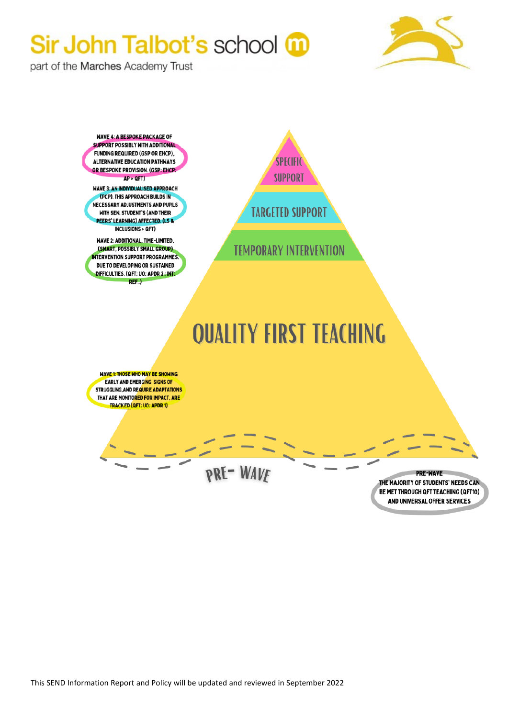

part of the Marches Academy Trust

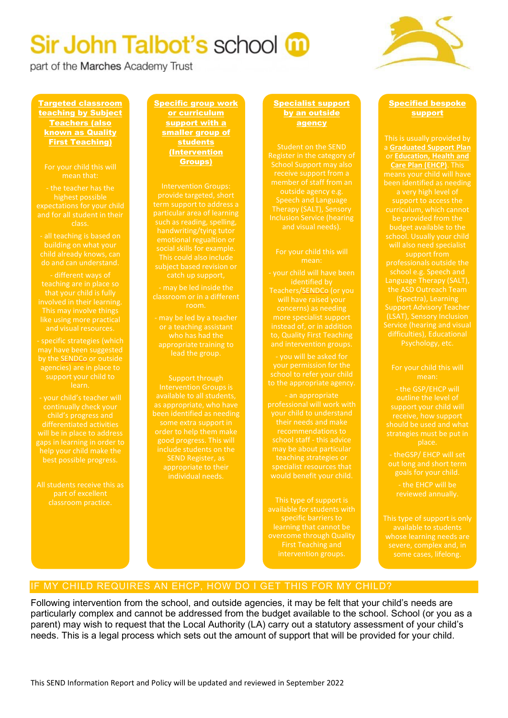part of the Marches Academy Trust



Targeted classroom teaching by Subject Teachers (also known as Quality First Teaching)

### For your child this will

expectations for your child

do and can understand.

- different ways of and visual resources.

- specific strategies (which

continually check your will be in place to address gaps in learning in order to

part of excellent classroom practice. Specific group work or curriculum support with a smaller group of students (Intervention Groups)

Intervention Groups: particular area of learning handwriting/tying tutor social skills for example. This could also include subject based revision or

- may be led inside the classroom or in a different

appropriate training to

Support through as appropriate, who have appropriate to their

#### Specialist support by an outside agency

Register in the category of School Support may also

### For your child this will

- your child will have been will have raised your concerns) as needing and intervention groups.

- you will be asked for to the appropriate agency.

professional will work with recommendations to specialist resources that would benefit your child.

This type of support is

#### Specified bespoke support

This is usually provided by a **Graduated Support Plan**  or **Education, Health and Care Plan (EHCP)**. This support to access the be provided from the budget available to the support from the ASD Outreach Team difficulties), Educational

- the GSP/EHCP will outline the level of support your child will strategies must be put in place.

- theGSP/ EHCP will set

- the EHCP will be

This type of support is only

#### IF MY CHILD REQUIRES AN EHCP, HOW DO I GET THIS FOR MY CHILD?

Following intervention from the school, and outside agencies, it may be felt that your child's needs are particularly complex and cannot be addressed from the budget available to the school. School (or you as a parent) may wish to request that the Local Authority (LA) carry out a statutory assessment of your child's needs. This is a legal process which sets out the amount of support that will be provided for your child.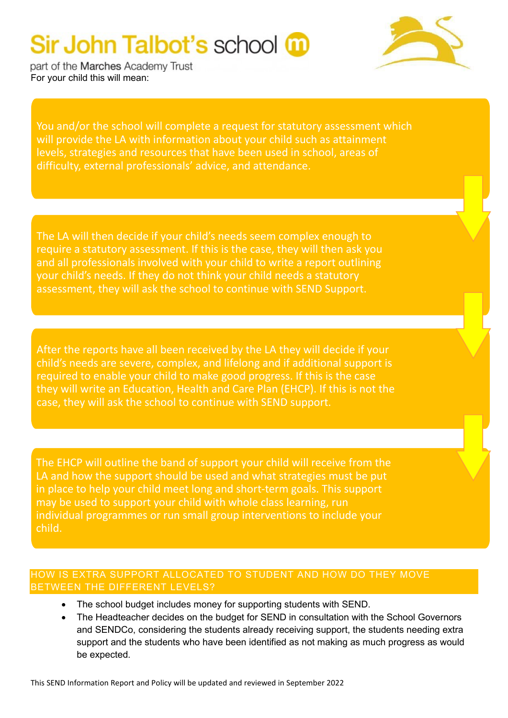

part of the Marches Academy Trust For your child this will mean:

You and/or the school will complete a request for statutory assessment which will provide the LA with information about your child such as attainment levels, strategies and resources that have been used in school, areas of difficulty, external professionals' advice, and attendance.

The LA will then decide if your child's needs seem complex enough to require a statutory assessment. If this is the case, they will then ask you and all professionals involved with your child to write a report outlining your child's needs. If they do not think your child needs a statutory assessment, they will ask the school to continue with SEND Support.

After the reports have all been received by the LA they will decide if your child's needs are severe, complex, and lifelong and if additional support is required to enable your child to make good progress. If this is the case they will write an Education, Health and Care Plan (EHCP). If this is not the case, they will ask the school to continue with SEND support.

The EHCP will outline the band of support your child will receive from the LA and how the support should be used and what strategies must be put in place to help your child meet long and short-term goals. This support may be used to support your child with whole class learning, run individual programmes or run small group interventions to include your child.

#### HOW IS EXTRA SUPPORT ALLOCATED TO STUDENT AND HOW DO THEY MOVE BETWEEN THE DIFFERENT LEVELS?

- The school budget includes money for supporting students with SEND.
- The Headteacher decides on the budget for SEND in consultation with the School Governors and SENDCo, considering the students already receiving support, the students needing extra support and the students who have been identified as not making as much progress as would be expected.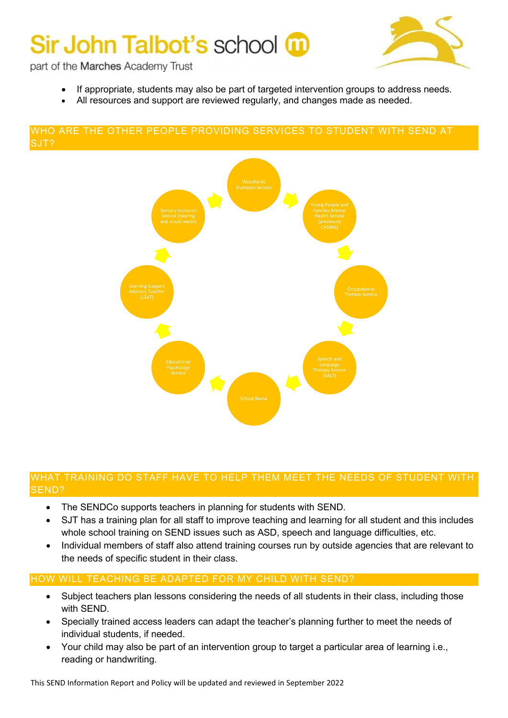

part of the Marches Academy Trust

- If appropriate, students may also be part of targeted intervention groups to address needs.
- All resources and support are reviewed regularly, and changes made as needed.

#### WHO ARE THE OTHER PEOPLE PROVIDING SERVICES TO STUDENT WITH SEND AT SJT?



#### WHAT TRAINING DO STAFF HAVE TO HELP THEM MEET THE NEEDS OF STUDENT WITH SEND?

- The SENDCo supports teachers in planning for students with SEND.
- SJT has a training plan for all staff to improve teaching and learning for all student and this includes whole school training on SEND issues such as ASD, speech and language difficulties, etc.
- Individual members of staff also attend training courses run by outside agencies that are relevant to the needs of specific student in their class.

#### HOW WILL TEACHING BE ADAPTED FOR MY CHILD WITH SEND?

- Subject teachers plan lessons considering the needs of all students in their class, including those with SEND.
- Specially trained access leaders can adapt the teacher's planning further to meet the needs of individual students, if needed.
- Your child may also be part of an intervention group to target a particular area of learning i.e., reading or handwriting.

This SEND Information Report and Policy will be updated and reviewed in September 2022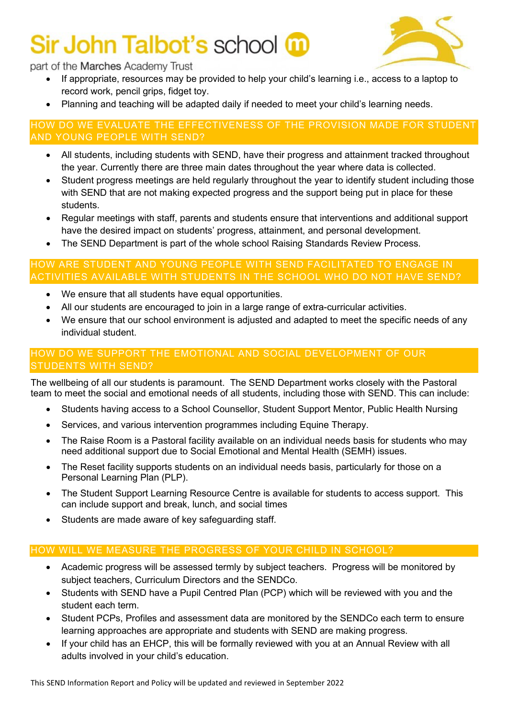

#### part of the Marches Academy Trust

- If appropriate, resources may be provided to help your child's learning i.e., access to a laptop to record work, pencil grips, fidget toy.
- Planning and teaching will be adapted daily if needed to meet your child's learning needs.

#### HOW DO WE EVALUATE THE EFFECTIVENESS OF THE PROVISION MADE FOR STUDENT AND YOUNG PEOPLE WITH SEND?

- All students, including students with SEND, have their progress and attainment tracked throughout the year. Currently there are three main dates throughout the year where data is collected.
- Student progress meetings are held regularly throughout the year to identify student including those with SEND that are not making expected progress and the support being put in place for these students.
- Regular meetings with staff, parents and students ensure that interventions and additional support have the desired impact on students' progress, attainment, and personal development.
- The SEND Department is part of the whole school Raising Standards Review Process.

#### HOW ARE STUDENT AND YOUNG PEOPLE WITH SEND FACILITATED TO ENGAGE IN ACTIVITIES AVAILABLE WITH STUDENTS IN THE SCHOOL WHO DO NOT HAVE SEND?

- We ensure that all students have equal opportunities.
- All our students are encouraged to join in a large range of extra-curricular activities.
- We ensure that our school environment is adjusted and adapted to meet the specific needs of any individual student.

#### HOW DO WE SUPPORT THE EMOTIONAL AND SOCIAL DEVELOPMENT OF OUR STUDENTS WITH SEND?

The wellbeing of all our students is paramount. The SEND Department works closely with the Pastoral team to meet the social and emotional needs of all students, including those with SEND. This can include:

- Students having access to a School Counsellor, Student Support Mentor, Public Health Nursing
- Services, and various intervention programmes including Equine Therapy.
- The Raise Room is a Pastoral facility available on an individual needs basis for students who may need additional support due to Social Emotional and Mental Health (SEMH) issues.
- The Reset facility supports students on an individual needs basis, particularly for those on a Personal Learning Plan (PLP).
- The Student Support Learning Resource Centre is available for students to access support. This can include support and break, lunch, and social times
- Students are made aware of key safeguarding staff.

#### HOW WILL WE MEASURE THE PROGRESS OF YOUR CHILD IN SCHOOL?

- Academic progress will be assessed termly by subject teachers. Progress will be monitored by subject teachers, Curriculum Directors and the SENDCo.
- Students with SEND have a Pupil Centred Plan (PCP) which will be reviewed with you and the student each term.
- Student PCPs, Profiles and assessment data are monitored by the SENDCo each term to ensure learning approaches are appropriate and students with SEND are making progress.
- If your child has an EHCP, this will be formally reviewed with you at an Annual Review with all adults involved in your child's education.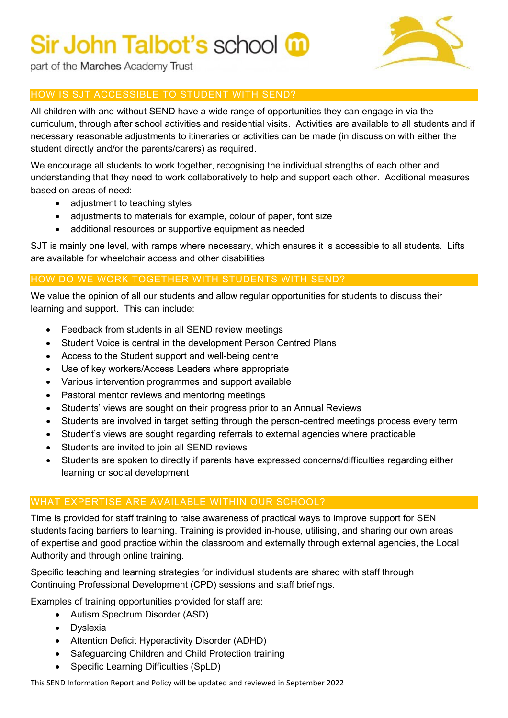

part of the Marches Academy Trust

### HOW IS SJT ACCESSIBLE TO STUDENT WITH SEND?

All children with and without SEND have a wide range of opportunities they can engage in via the curriculum, through after school activities and residential visits. Activities are available to all students and if necessary reasonable adjustments to itineraries or activities can be made (in discussion with either the student directly and/or the parents/carers) as required.

We encourage all students to work together, recognising the individual strengths of each other and understanding that they need to work collaboratively to help and support each other. Additional measures based on areas of need:

- adjustment to teaching styles
- adjustments to materials for example, colour of paper, font size
- additional resources or supportive equipment as needed

SJT is mainly one level, with ramps where necessary, which ensures it is accessible to all students. Lifts are available for wheelchair access and other disabilities

#### HOW DO WE WORK TOGETHER WITH STUDENTS WITH SEND?

We value the opinion of all our students and allow regular opportunities for students to discuss their learning and support. This can include:

- Feedback from students in all SEND review meetings
- Student Voice is central in the development Person Centred Plans
- Access to the Student support and well-being centre
- Use of key workers/Access Leaders where appropriate
- Various intervention programmes and support available
- Pastoral mentor reviews and mentoring meetings
- Students' views are sought on their progress prior to an Annual Reviews
- Students are involved in target setting through the person-centred meetings process every term
- Student's views are sought regarding referrals to external agencies where practicable
- Students are invited to join all SEND reviews
- Students are spoken to directly if parents have expressed concerns/difficulties regarding either learning or social development

#### WHAT EXPERTISE ARE AVAILABLE WITHIN OUR SCHOOL?

Time is provided for staff training to raise awareness of practical ways to improve support for SEN students facing barriers to learning. Training is provided in-house, utilising, and sharing our own areas of expertise and good practice within the classroom and externally through external agencies, the Local Authority and through online training.

Specific teaching and learning strategies for individual students are shared with staff through Continuing Professional Development (CPD) sessions and staff briefings.

Examples of training opportunities provided for staff are:

- Autism Spectrum Disorder (ASD)
- Dyslexia
- Attention Deficit Hyperactivity Disorder (ADHD)
- Safeguarding Children and Child Protection training
- Specific Learning Difficulties (SpLD)

This SEND Information Report and Policy will be updated and reviewed in September 2022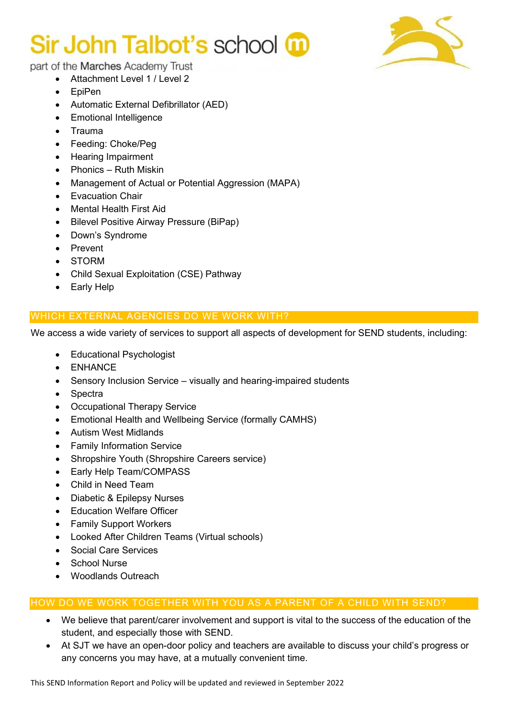

part of the Marches Academy Trust

- Attachment Level 1 / Level 2
- EpiPen
- Automatic External Defibrillator (AED)
- Emotional Intelligence
- Trauma
- Feeding: Choke/Peg
- Hearing Impairment
- Phonics Ruth Miskin
- Management of Actual or Potential Aggression (MAPA)
- Evacuation Chair
- Mental Health First Aid
- Bilevel Positive Airway Pressure (BiPap)
- Down's Syndrome
- Prevent
- STORM
- Child Sexual Exploitation (CSE) Pathway
- Early Help

#### WHICH EXTERNAL AGENCIES DO WE WORK WITH?

We access a wide variety of services to support all aspects of development for SEND students, including:

- Educational Psychologist
- ENHANCE
- Sensory Inclusion Service visually and hearing-impaired students
- Spectra
- **Occupational Therapy Service**
- Emotional Health and Wellbeing Service (formally CAMHS)
- Autism West Midlands
- Family Information Service
- Shropshire Youth (Shropshire Careers service)
- Early Help Team/COMPASS
- Child in Need Team
- Diabetic & Epilepsy Nurses
- Education Welfare Officer
- Family Support Workers
- Looked After Children Teams (Virtual schools)
- Social Care Services
- School Nurse
- Woodlands Outreach

#### HOW DO WE WORK TOGETHER WITH YOU AS A PARENT OF A CHILD WITH SEND?

- We believe that parent/carer involvement and support is vital to the success of the education of the student, and especially those with SEND.
- At SJT we have an open-door policy and teachers are available to discuss your child's progress or any concerns you may have, at a mutually convenient time.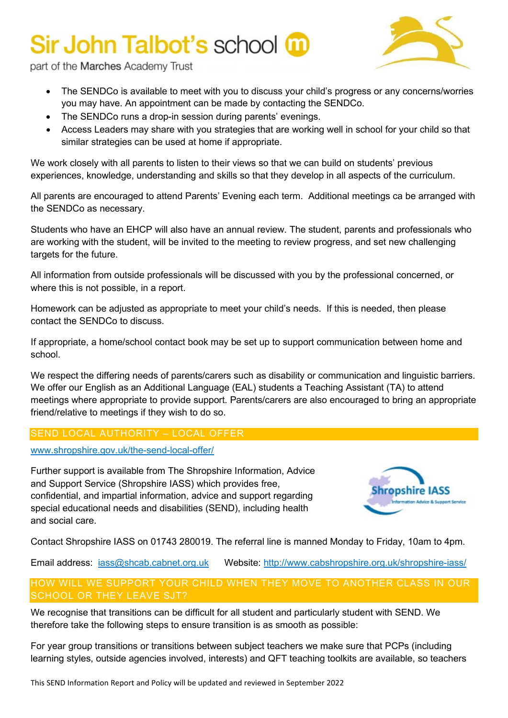

part of the Marches Academy Trust

- The SENDCo is available to meet with you to discuss your child's progress or any concerns/worries you may have. An appointment can be made by contacting the SENDCo.
- The SENDCo runs a drop-in session during parents' evenings.
- Access Leaders may share with you strategies that are working well in school for your child so that similar strategies can be used at home if appropriate.

We work closely with all parents to listen to their views so that we can build on students' previous experiences, knowledge, understanding and skills so that they develop in all aspects of the curriculum.

All parents are encouraged to attend Parents' Evening each term. Additional meetings ca be arranged with the SENDCo as necessary.

Students who have an EHCP will also have an annual review. The student, parents and professionals who are working with the student, will be invited to the meeting to review progress, and set new challenging targets for the future.

All information from outside professionals will be discussed with you by the professional concerned, or where this is not possible, in a report.

Homework can be adjusted as appropriate to meet your child's needs. If this is needed, then please contact the SENDCo to discuss.

If appropriate, a home/school contact book may be set up to support communication between home and school.

We respect the differing needs of parents/carers such as disability or communication and linguistic barriers. We offer our English as an Additional Language (EAL) students a Teaching Assistant (TA) to attend meetings where appropriate to provide support. Parents/carers are also encouraged to bring an appropriate friend/relative to meetings if they wish to do so.

#### SEND LOCAL AUTHORITY – LOCAL OFFER

[www.shropshire.gov.uk/the-send-local-offer/](http://www.shropshire.gov.uk/the-send-local-offer/)

Further support is available from The Shropshire Information, Advice and Support Service (Shropshire IASS) which provides free, confidential, and impartial information, advice and support regarding special educational needs and disabilities (SEND), including health and social care.



Contact Shropshire IASS on 01743 280019. The referral line is manned Monday to Friday, 10am to 4pm.

Email address: [iass@shcab.cabnet.org.uk](mailto:iass@shcab.cabnet.org.uk) Website:<http://www.cabshropshire.org.uk/shropshire-iass/>

#### HOW WILL WE SUPPORT YOUR CHILD WHEN THEY MOVE TO ANOTHER CLASS IN OUR SCHOOL OR THEY LEAVE SJT?

We recognise that transitions can be difficult for all student and particularly student with SEND. We therefore take the following steps to ensure transition is as smooth as possible:

For year group transitions or transitions between subject teachers we make sure that PCPs (including learning styles, outside agencies involved, interests) and QFT teaching toolkits are available, so teachers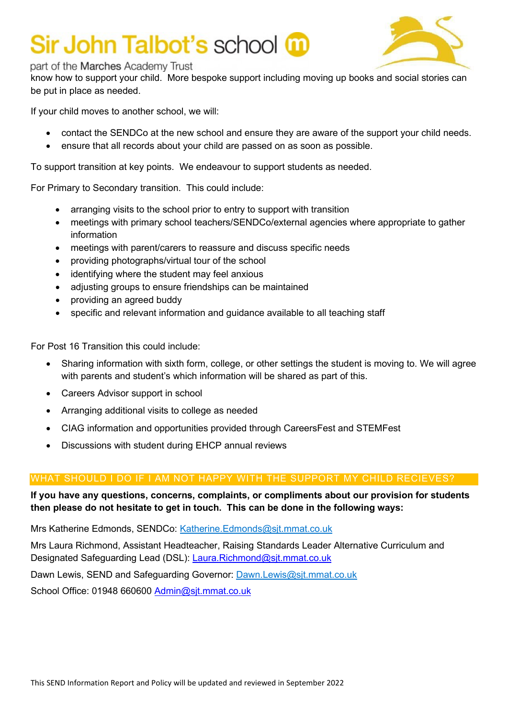

#### part of the Marches Academy Trust

know how to support your child. More bespoke support including moving up books and social stories can be put in place as needed.

If your child moves to another school, we will:

- contact the SENDCo at the new school and ensure they are aware of the support your child needs.
- ensure that all records about your child are passed on as soon as possible.

To support transition at key points. We endeavour to support students as needed.

For Primary to Secondary transition. This could include:

- arranging visits to the school prior to entry to support with transition
- meetings with primary school teachers/SENDCo/external agencies where appropriate to gather information
- meetings with parent/carers to reassure and discuss specific needs
- providing photographs/virtual tour of the school
- identifying where the student may feel anxious
- adjusting groups to ensure friendships can be maintained
- providing an agreed buddy
- specific and relevant information and guidance available to all teaching staff

For Post 16 Transition this could include:

- Sharing information with sixth form, college, or other settings the student is moving to. We will agree with parents and student's which information will be shared as part of this.
- Careers Advisor support in school
- Arranging additional visits to college as needed
- CIAG information and opportunities provided through CareersFest and STEMFest
- Discussions with student during EHCP annual reviews

#### WHAT SHOULD I DO IF I AM NOT HAPPY WITH THE SUPPORT MY CHILD RECIEVES?

**If you have any questions, concerns, complaints, or compliments about our provision for students then please do not hesitate to get in touch. This can be done in the following ways:**

Mrs Katherine Edmonds, SENDCo: [Katherine.Edmonds@sjt.mmat.co.uk](mailto:Katherine.Edmonds@sjt.mmat.co.uk)

Mrs Laura Richmond, Assistant Headteacher, Raising Standards Leader Alternative Curriculum and Designated Safeguarding Lead (DSL): Laura.Richmond@sjt.mmat.co.uk

Dawn Lewis, SEND and Safeguarding Governor: [Dawn.Lewis@sjt.mmat.co.uk](mailto:Dawn.Lewis@sjt.mmat.co.uk)

School Office: 01948 660600 Admin@sjt.mmat.co.uk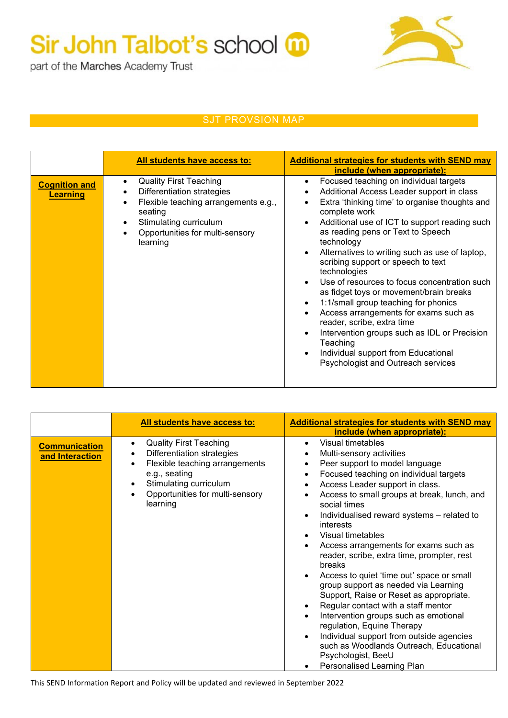part of the Marches Academy Trust

### SJT PROVSION MAP

|                                         | All students have access to:                                                                                                                                                                                      | <b>Additional strategies for students with SEND may</b><br>include (when appropriate):                                                                                                                                                                                                                                                                                                                                                                                                                                                                                                                                                                                                                                             |
|-----------------------------------------|-------------------------------------------------------------------------------------------------------------------------------------------------------------------------------------------------------------------|------------------------------------------------------------------------------------------------------------------------------------------------------------------------------------------------------------------------------------------------------------------------------------------------------------------------------------------------------------------------------------------------------------------------------------------------------------------------------------------------------------------------------------------------------------------------------------------------------------------------------------------------------------------------------------------------------------------------------------|
| <b>Cognition and</b><br><b>Learning</b> | <b>Quality First Teaching</b><br>$\bullet$<br>Differentiation strategies<br>$\bullet$<br>Flexible teaching arrangements e.g.,<br>seating<br>Stimulating curriculum<br>Opportunities for multi-sensory<br>learning | Focused teaching on individual targets<br>$\bullet$<br>Additional Access Leader support in class<br>Extra 'thinking time' to organise thoughts and<br>complete work<br>Additional use of ICT to support reading such<br>as reading pens or Text to Speech<br>technology<br>Alternatives to writing such as use of laptop,<br>scribing support or speech to text<br>technologies<br>Use of resources to focus concentration such<br>as fidget toys or movement/brain breaks<br>1:1/small group teaching for phonics<br>Access arrangements for exams such as<br>reader, scribe, extra time<br>Intervention groups such as IDL or Precision<br>Teaching<br>Individual support from Educational<br>Psychologist and Outreach services |

|                                         | All students have access to:                                                                                                                                                                                                                | <b>Additional strategies for students with SEND may</b><br>include (when appropriate):                                                                                                                                                                                                                                                                                                                                                                                                                                                                                                                                                                                                                                                                                                                                                                              |
|-----------------------------------------|---------------------------------------------------------------------------------------------------------------------------------------------------------------------------------------------------------------------------------------------|---------------------------------------------------------------------------------------------------------------------------------------------------------------------------------------------------------------------------------------------------------------------------------------------------------------------------------------------------------------------------------------------------------------------------------------------------------------------------------------------------------------------------------------------------------------------------------------------------------------------------------------------------------------------------------------------------------------------------------------------------------------------------------------------------------------------------------------------------------------------|
| <b>Communication</b><br>and Interaction | <b>Quality First Teaching</b><br>$\bullet$<br>Differentiation strategies<br>$\bullet$<br>Flexible teaching arrangements<br>$\bullet$<br>e.g., seating<br>Stimulating curriculum<br>Opportunities for multi-sensory<br>$\bullet$<br>learning | Visual timetables<br>$\bullet$<br>Multi-sensory activities<br>Peer support to model language<br>Focused teaching on individual targets<br>Access Leader support in class.<br>٠<br>Access to small groups at break, lunch, and<br>social times<br>Individualised reward systems - related to<br>$\bullet$<br>interests<br>Visual timetables<br>Access arrangements for exams such as<br>٠<br>reader, scribe, extra time, prompter, rest<br>breaks<br>Access to quiet 'time out' space or small<br>group support as needed via Learning<br>Support, Raise or Reset as appropriate.<br>Regular contact with a staff mentor<br>$\bullet$<br>Intervention groups such as emotional<br>regulation, Equine Therapy<br>Individual support from outside agencies<br>$\bullet$<br>such as Woodlands Outreach, Educational<br>Psychologist, BeeU<br>Personalised Learning Plan |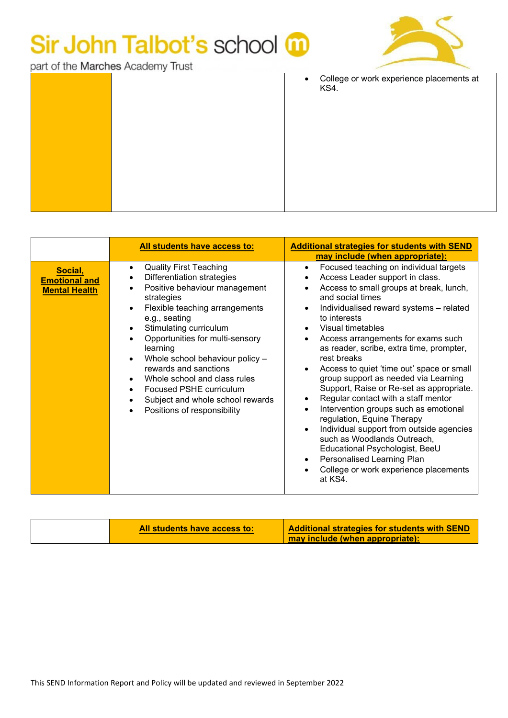

part of the Marches Academy Trust

|  | $\bullet$ | College or work experience placements at<br>KS4. |
|--|-----------|--------------------------------------------------|
|  |           |                                                  |
|  |           |                                                  |
|  |           |                                                  |
|  |           |                                                  |
|  |           |                                                  |

|                                                         | All students have access to:                                                                                                                                                                                                                                                                                                                                                                                                                                                                                                                                            | <b>Additional strategies for students with SEND</b><br>may include (when appropriate):                                                                                                                                                                                                                                                                                                                                                                                                                                                                                                                                                                                                                                                                                                                                                                                                                                 |
|---------------------------------------------------------|-------------------------------------------------------------------------------------------------------------------------------------------------------------------------------------------------------------------------------------------------------------------------------------------------------------------------------------------------------------------------------------------------------------------------------------------------------------------------------------------------------------------------------------------------------------------------|------------------------------------------------------------------------------------------------------------------------------------------------------------------------------------------------------------------------------------------------------------------------------------------------------------------------------------------------------------------------------------------------------------------------------------------------------------------------------------------------------------------------------------------------------------------------------------------------------------------------------------------------------------------------------------------------------------------------------------------------------------------------------------------------------------------------------------------------------------------------------------------------------------------------|
| Social,<br><b>Emotional and</b><br><b>Mental Health</b> | <b>Quality First Teaching</b><br>$\bullet$<br>Differentiation strategies<br>٠<br>Positive behaviour management<br>$\bullet$<br>strategies<br>Flexible teaching arrangements<br>$\bullet$<br>e.g., seating<br>Stimulating curriculum<br>$\bullet$<br>Opportunities for multi-sensory<br>$\bullet$<br>learning<br>Whole school behaviour policy -<br>$\bullet$<br>rewards and sanctions<br>Whole school and class rules<br>$\bullet$<br>Focused PSHE curriculum<br>$\bullet$<br>Subject and whole school rewards<br>$\bullet$<br>Positions of responsibility<br>$\bullet$ | Focused teaching on individual targets<br>$\bullet$<br>Access Leader support in class.<br>$\bullet$<br>Access to small groups at break, lunch,<br>$\bullet$<br>and social times<br>Individualised reward systems - related<br>$\bullet$<br>to interests<br>Visual timetables<br>$\bullet$<br>Access arrangements for exams such<br>$\bullet$<br>as reader, scribe, extra time, prompter,<br>rest breaks<br>Access to quiet 'time out' space or small<br>$\bullet$<br>group support as needed via Learning<br>Support, Raise or Re-set as appropriate.<br>Regular contact with a staff mentor<br>$\bullet$<br>Intervention groups such as emotional<br>$\bullet$<br>regulation, Equine Therapy<br>Individual support from outside agencies<br>$\bullet$<br>such as Woodlands Outreach,<br>Educational Psychologist, BeeU<br>Personalised Learning Plan<br>$\bullet$<br>College or work experience placements<br>at KS4. |

| <b>Additional strategies for students with SEND</b><br>All students have access to:<br>may include (when appropriate): |
|------------------------------------------------------------------------------------------------------------------------|
|------------------------------------------------------------------------------------------------------------------------|